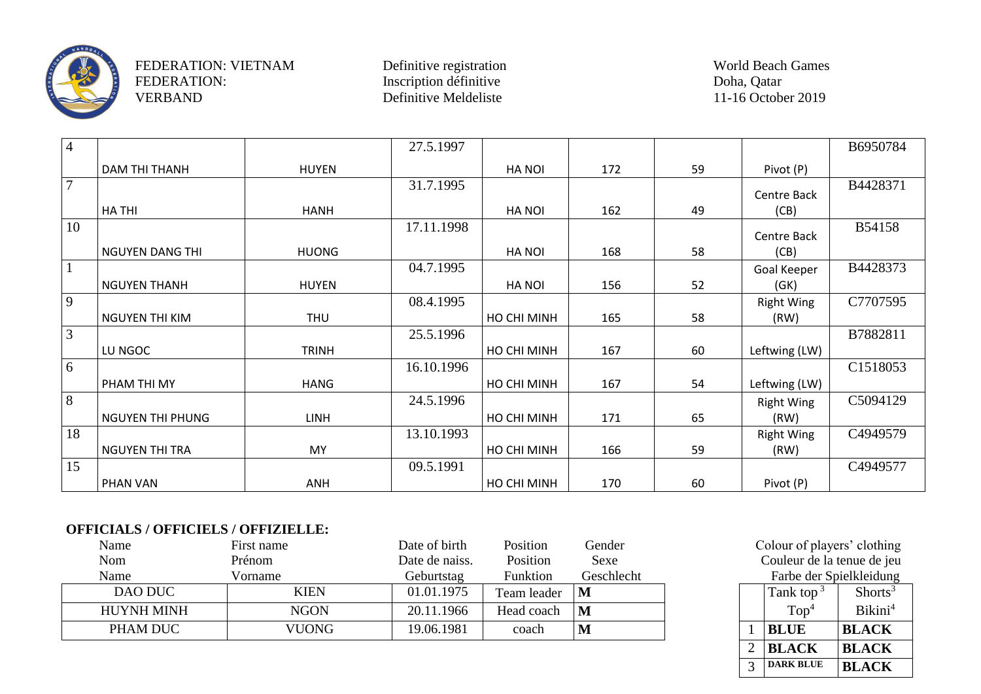

FEDERATION: VIETNAM Definitive registration World Beach Games<br>
FEDERATION: Inscription définitive Doha, Qatar Doha, Qatar FEDERATION: Inscription définitive Doha, Qatar Doha, Qatar Doha, Qatar Doha, Qatar Doha, Qatar Doha, Qatar Doha, Qatar Doha, Qatar Doha, Qatar Doha, Qatar Doha, Qatar Doha, Qatar Doha, Qatar Doha, Qatar Doha, Qatar Doha, Q

Definitive Meldeliste

| $\overline{4}$  |                         |              | 27.5.1997  |               |     |    |                   | B6950784 |
|-----------------|-------------------------|--------------|------------|---------------|-----|----|-------------------|----------|
|                 | DAM THI THANH           | <b>HUYEN</b> |            | <b>HA NOI</b> | 172 | 59 | Pivot (P)         |          |
| $7\overline{ }$ |                         |              | 31.7.1995  |               |     |    | Centre Back       | B4428371 |
|                 | <b>HATHI</b>            | <b>HANH</b>  |            | <b>HANOI</b>  | 162 | 49 | (CB)              |          |
| 10              |                         |              | 17.11.1998 |               |     |    | Centre Back       | B54158   |
|                 | <b>NGUYEN DANG THI</b>  | <b>HUONG</b> |            | <b>HANOI</b>  | 168 | 58 | (CB)              |          |
| $\mathbf{1}$    |                         |              | 04.7.1995  |               |     |    | Goal Keeper       | B4428373 |
|                 | <b>NGUYEN THANH</b>     | <b>HUYEN</b> |            | <b>HA NOI</b> | 156 | 52 | (GK)              |          |
| $\overline{9}$  |                         |              | 08.4.1995  |               |     |    | <b>Right Wing</b> | C7707595 |
|                 | NGUYEN THI KIM          | <b>THU</b>   |            | HO CHI MINH   | 165 | 58 | (RW)              |          |
| $\overline{3}$  |                         |              | 25.5.1996  |               |     |    |                   | B7882811 |
|                 | LU NGOC                 | <b>TRINH</b> |            | HO CHI MINH   | 167 | 60 | Leftwing (LW)     |          |
| $6\overline{6}$ |                         |              | 16.10.1996 |               |     |    |                   | C1518053 |
|                 | PHAM THI MY             | <b>HANG</b>  |            | HO CHI MINH   | 167 | 54 | Leftwing (LW)     |          |
| 8               |                         |              | 24.5.1996  |               |     |    | <b>Right Wing</b> | C5094129 |
|                 | <b>NGUYEN THI PHUNG</b> | <b>LINH</b>  |            | HO CHI MINH   | 171 | 65 | (RW)              |          |
| 18              |                         |              | 13.10.1993 |               |     |    | <b>Right Wing</b> | C4949579 |
|                 | <b>NGUYEN THI TRA</b>   | MY           |            | HO CHI MINH   | 166 | 59 | (RW)              |          |
| 15              |                         |              | 09.5.1991  |               |     |    |                   | C4949577 |
|                 | PHAN VAN                | ANH          |            | HO CHI MINH   | 170 | 60 | Pivot (P)         |          |

## **OFFICIALS / OFFICIELS / OFFIZIELLE:**

| Name              | First name   | Date of birth  | Position    | Gender     |  | Colour of players' clothin |                     |
|-------------------|--------------|----------------|-------------|------------|--|----------------------------|---------------------|
| Nom               | Prénom       | Date de naiss. | Position    | Sexe       |  | Couleur de la tenue de je  |                     |
| Name              | Vorname      | Geburtstag     | Funktion    | Geschlecht |  | Farbe der Spielkleidun     |                     |
| DAO DUC           | <b>KIEN</b>  | 01.01.1975     | Team leader |            |  | Tank top <sup>3</sup>      | Shorts <sup>3</sup> |
| <b>HUYNH MINH</b> | <b>NGON</b>  | 20.11.1966     | Head coach  |            |  | Top <sup>4</sup>           | Bikini <sup>4</sup> |
| PHAM DUC          | <b>VUONG</b> | 19.06.1981     | coach       |            |  | <b>BLUE</b>                | <b>BLACK</b>        |

Colour of players' clothing Couleur de la tenue de jeu Farbe der Spielkleidung

|                | Tank top $3$     | Shorts <sup>3</sup> |
|----------------|------------------|---------------------|
|                | Top <sup>4</sup> | Bikini <sup>4</sup> |
|                | <b>BLUE</b>      | <b>BLACK</b>        |
| $\mathfrak{D}$ | <b>BLACK</b>     | <b>BLACK</b>        |
|                | <b>DARK BLUE</b> | <b>BLACK</b>        |